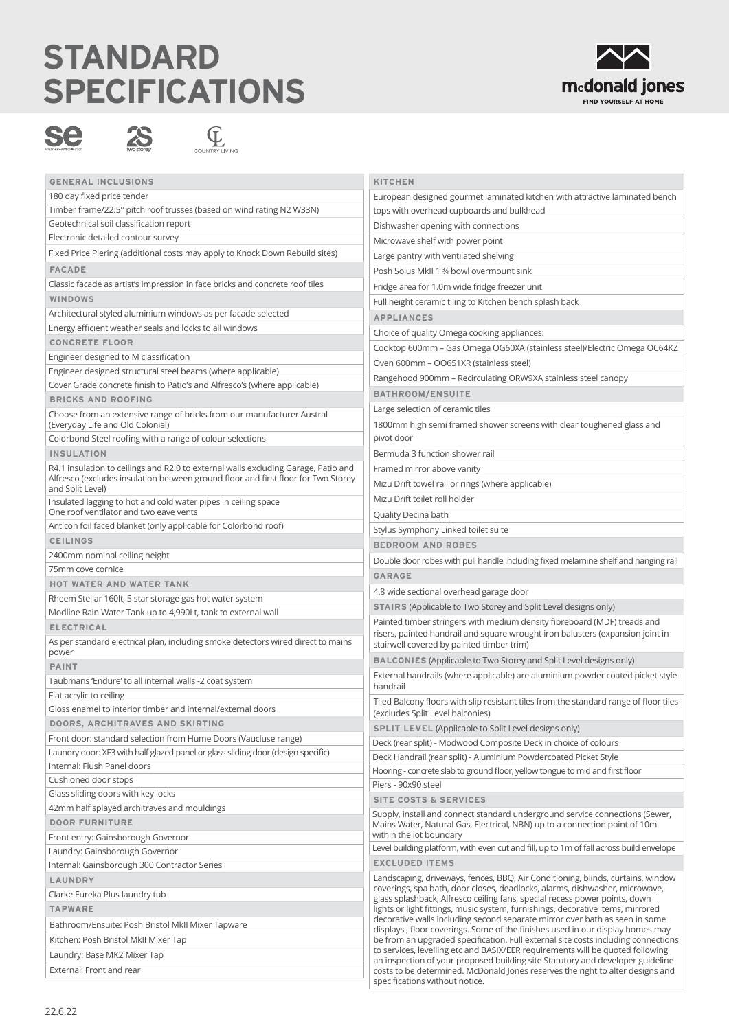## **STANDARD SPECIFICATIONS**







| <b>GENERAL INCLUSIONS</b>                                                                             | <b>KITCHEN</b>                                                                                                                                                                                                                                                                                                                                                                                                                                                                                                                                                                                                                                                                                                                                                                                                                                                               |
|-------------------------------------------------------------------------------------------------------|------------------------------------------------------------------------------------------------------------------------------------------------------------------------------------------------------------------------------------------------------------------------------------------------------------------------------------------------------------------------------------------------------------------------------------------------------------------------------------------------------------------------------------------------------------------------------------------------------------------------------------------------------------------------------------------------------------------------------------------------------------------------------------------------------------------------------------------------------------------------------|
| 180 day fixed price tender                                                                            | European designed gourmet laminated kitchen with attractive laminated bench                                                                                                                                                                                                                                                                                                                                                                                                                                                                                                                                                                                                                                                                                                                                                                                                  |
| Timber frame/22.5° pitch roof trusses (based on wind rating N2 W33N)                                  | tops with overhead cupboards and bulkhead                                                                                                                                                                                                                                                                                                                                                                                                                                                                                                                                                                                                                                                                                                                                                                                                                                    |
| Geotechnical soil classification report                                                               | Dishwasher opening with connections                                                                                                                                                                                                                                                                                                                                                                                                                                                                                                                                                                                                                                                                                                                                                                                                                                          |
| Electronic detailed contour survey                                                                    | Microwave shelf with power point                                                                                                                                                                                                                                                                                                                                                                                                                                                                                                                                                                                                                                                                                                                                                                                                                                             |
| Fixed Price Piering (additional costs may apply to Knock Down Rebuild sites)                          | Large pantry with ventilated shelving                                                                                                                                                                                                                                                                                                                                                                                                                                                                                                                                                                                                                                                                                                                                                                                                                                        |
| <b>FACADE</b>                                                                                         | Posh Solus MkII 1 34 bowl overmount sink                                                                                                                                                                                                                                                                                                                                                                                                                                                                                                                                                                                                                                                                                                                                                                                                                                     |
| Classic facade as artist's impression in face bricks and concrete roof tiles                          | Fridge area for 1.0m wide fridge freezer unit                                                                                                                                                                                                                                                                                                                                                                                                                                                                                                                                                                                                                                                                                                                                                                                                                                |
| WINDOWS                                                                                               | Full height ceramic tiling to Kitchen bench splash back                                                                                                                                                                                                                                                                                                                                                                                                                                                                                                                                                                                                                                                                                                                                                                                                                      |
| Architectural styled aluminium windows as per facade selected                                         | <b>APPLIANCES</b>                                                                                                                                                                                                                                                                                                                                                                                                                                                                                                                                                                                                                                                                                                                                                                                                                                                            |
| Energy efficient weather seals and locks to all windows                                               | Choice of quality Omega cooking appliances:                                                                                                                                                                                                                                                                                                                                                                                                                                                                                                                                                                                                                                                                                                                                                                                                                                  |
| <b>CONCRETE FLOOR</b>                                                                                 |                                                                                                                                                                                                                                                                                                                                                                                                                                                                                                                                                                                                                                                                                                                                                                                                                                                                              |
| Engineer designed to M classification                                                                 | Cooktop 600mm - Gas Omega OG60XA (stainless steel)/Electric Omega OC64KZ                                                                                                                                                                                                                                                                                                                                                                                                                                                                                                                                                                                                                                                                                                                                                                                                     |
| Engineer designed structural steel beams (where applicable)                                           | Oven 600mm - OO651XR (stainless steel)                                                                                                                                                                                                                                                                                                                                                                                                                                                                                                                                                                                                                                                                                                                                                                                                                                       |
| Cover Grade concrete finish to Patio's and Alfresco's (where applicable)                              | Rangehood 900mm - Recirculating ORW9XA stainless steel canopy                                                                                                                                                                                                                                                                                                                                                                                                                                                                                                                                                                                                                                                                                                                                                                                                                |
| <b>BRICKS AND ROOFING</b>                                                                             | <b>BATHROOM/ENSUITE</b>                                                                                                                                                                                                                                                                                                                                                                                                                                                                                                                                                                                                                                                                                                                                                                                                                                                      |
| Choose from an extensive range of bricks from our manufacturer Austral                                | Large selection of ceramic tiles                                                                                                                                                                                                                                                                                                                                                                                                                                                                                                                                                                                                                                                                                                                                                                                                                                             |
| (Everyday Life and Old Colonial)                                                                      | 1800mm high semi framed shower screens with clear toughened glass and                                                                                                                                                                                                                                                                                                                                                                                                                                                                                                                                                                                                                                                                                                                                                                                                        |
| Colorbond Steel roofing with a range of colour selections                                             | pivot door                                                                                                                                                                                                                                                                                                                                                                                                                                                                                                                                                                                                                                                                                                                                                                                                                                                                   |
| <b>INSULATION</b>                                                                                     | Bermuda 3 function shower rail                                                                                                                                                                                                                                                                                                                                                                                                                                                                                                                                                                                                                                                                                                                                                                                                                                               |
| R4.1 insulation to ceilings and R2.0 to external walls excluding Garage, Patio and                    | Framed mirror above vanity                                                                                                                                                                                                                                                                                                                                                                                                                                                                                                                                                                                                                                                                                                                                                                                                                                                   |
| Alfresco (excludes insulation between ground floor and first floor for Two Storey<br>and Split Level) | Mizu Drift towel rail or rings (where applicable)                                                                                                                                                                                                                                                                                                                                                                                                                                                                                                                                                                                                                                                                                                                                                                                                                            |
| Insulated lagging to hot and cold water pipes in ceiling space                                        | Mizu Drift toilet roll holder                                                                                                                                                                                                                                                                                                                                                                                                                                                                                                                                                                                                                                                                                                                                                                                                                                                |
| One roof ventilator and two eave vents                                                                | Quality Decina bath                                                                                                                                                                                                                                                                                                                                                                                                                                                                                                                                                                                                                                                                                                                                                                                                                                                          |
| Anticon foil faced blanket (only applicable for Colorbond roof)                                       | Stylus Symphony Linked toilet suite                                                                                                                                                                                                                                                                                                                                                                                                                                                                                                                                                                                                                                                                                                                                                                                                                                          |
| <b>CEILINGS</b>                                                                                       | <b>BEDROOM AND ROBES</b>                                                                                                                                                                                                                                                                                                                                                                                                                                                                                                                                                                                                                                                                                                                                                                                                                                                     |
| 2400mm nominal ceiling height                                                                         | Double door robes with pull handle including fixed melamine shelf and hanging rail                                                                                                                                                                                                                                                                                                                                                                                                                                                                                                                                                                                                                                                                                                                                                                                           |
| 75mm cove cornice                                                                                     | <b>GARAGE</b>                                                                                                                                                                                                                                                                                                                                                                                                                                                                                                                                                                                                                                                                                                                                                                                                                                                                |
| <b>HOT WATER AND WATER TANK</b>                                                                       | 4.8 wide sectional overhead garage door                                                                                                                                                                                                                                                                                                                                                                                                                                                                                                                                                                                                                                                                                                                                                                                                                                      |
| Rheem Stellar 160lt, 5 star storage gas hot water system                                              | <b>STAIRS</b> (Applicable to Two Storey and Split Level designs only)                                                                                                                                                                                                                                                                                                                                                                                                                                                                                                                                                                                                                                                                                                                                                                                                        |
| Modline Rain Water Tank up to 4,990Lt, tank to external wall                                          | Painted timber stringers with medium density fibreboard (MDF) treads and                                                                                                                                                                                                                                                                                                                                                                                                                                                                                                                                                                                                                                                                                                                                                                                                     |
| <b>ELECTRICAL</b>                                                                                     | risers, painted handrail and square wrought iron balusters (expansion joint in                                                                                                                                                                                                                                                                                                                                                                                                                                                                                                                                                                                                                                                                                                                                                                                               |
| As per standard electrical plan, including smoke detectors wired direct to mains<br>power             | stairwell covered by painted timber trim)                                                                                                                                                                                                                                                                                                                                                                                                                                                                                                                                                                                                                                                                                                                                                                                                                                    |
| <b>PAINT</b>                                                                                          | BALCONIES (Applicable to Two Storey and Split Level designs only)                                                                                                                                                                                                                                                                                                                                                                                                                                                                                                                                                                                                                                                                                                                                                                                                            |
| Taubmans 'Endure' to all internal walls -2 coat system                                                | External handrails (where applicable) are aluminium powder coated picket style                                                                                                                                                                                                                                                                                                                                                                                                                                                                                                                                                                                                                                                                                                                                                                                               |
| Flat acrylic to ceiling                                                                               | handrail                                                                                                                                                                                                                                                                                                                                                                                                                                                                                                                                                                                                                                                                                                                                                                                                                                                                     |
| Gloss enamel to interior timber and internal/external doors                                           | Tiled Balcony floors with slip resistant tiles from the standard range of floor tiles<br>(excludes Split Level balconies)                                                                                                                                                                                                                                                                                                                                                                                                                                                                                                                                                                                                                                                                                                                                                    |
| DOORS, ARCHITRAVES AND SKIRTING                                                                       |                                                                                                                                                                                                                                                                                                                                                                                                                                                                                                                                                                                                                                                                                                                                                                                                                                                                              |
| Front door: standard selection from Hume Doors (Vaucluse range)                                       | <b>SPLIT LEVEL</b> (Applicable to Split Level designs only)<br>Deck (rear split) - Modwood Composite Deck in choice of colours                                                                                                                                                                                                                                                                                                                                                                                                                                                                                                                                                                                                                                                                                                                                               |
| Laundry door: XF3 with half glazed panel or glass sliding door (design specific)                      | Deck Handrail (rear split) - Aluminium Powdercoated Picket Style                                                                                                                                                                                                                                                                                                                                                                                                                                                                                                                                                                                                                                                                                                                                                                                                             |
| Internal: Flush Panel doors                                                                           | Flooring - concrete slab to ground floor, yellow tongue to mid and first floor                                                                                                                                                                                                                                                                                                                                                                                                                                                                                                                                                                                                                                                                                                                                                                                               |
| Cushioned door stops                                                                                  | Piers - 90x90 steel                                                                                                                                                                                                                                                                                                                                                                                                                                                                                                                                                                                                                                                                                                                                                                                                                                                          |
| Glass sliding doors with key locks                                                                    | <b>SITE COSTS &amp; SERVICES</b>                                                                                                                                                                                                                                                                                                                                                                                                                                                                                                                                                                                                                                                                                                                                                                                                                                             |
| 42mm half splayed architraves and mouldings                                                           | Supply, install and connect standard underground service connections (Sewer,                                                                                                                                                                                                                                                                                                                                                                                                                                                                                                                                                                                                                                                                                                                                                                                                 |
| <b>DOOR FURNITURE</b>                                                                                 | Mains Water, Natural Gas, Electrical, NBN) up to a connection point of 10m                                                                                                                                                                                                                                                                                                                                                                                                                                                                                                                                                                                                                                                                                                                                                                                                   |
| Front entry: Gainsborough Governor                                                                    | within the lot boundary                                                                                                                                                                                                                                                                                                                                                                                                                                                                                                                                                                                                                                                                                                                                                                                                                                                      |
| Laundry: Gainsborough Governor                                                                        | Level building platform, with even cut and fill, up to 1m of fall across build envelope                                                                                                                                                                                                                                                                                                                                                                                                                                                                                                                                                                                                                                                                                                                                                                                      |
| Internal: Gainsborough 300 Contractor Series                                                          | <b>EXCLUDED ITEMS</b>                                                                                                                                                                                                                                                                                                                                                                                                                                                                                                                                                                                                                                                                                                                                                                                                                                                        |
| LAUNDRY                                                                                               | Landscaping, driveways, fences, BBQ, Air Conditioning, blinds, curtains, window<br>coverings, spa bath, door closes, deadlocks, alarms, dishwasher, microwave,<br>glass splashback, Alfresco ceiling fans, special recess power points, down<br>lights or light fittings, music system, furnishings, decorative items, mirrored<br>decorative walls including second separate mirror over bath as seen in some<br>displays, floor coverings. Some of the finishes used in our display homes may<br>be from an upgraded specification. Full external site costs including connections<br>to services, levelling etc and BASIX/EER requirements will be quoted following<br>an inspection of your proposed building site Statutory and developer guideline<br>costs to be determined. McDonald Jones reserves the right to alter designs and<br>specifications without notice. |
| Clarke Eureka Plus laundry tub                                                                        |                                                                                                                                                                                                                                                                                                                                                                                                                                                                                                                                                                                                                                                                                                                                                                                                                                                                              |
| <b>TAPWARE</b>                                                                                        |                                                                                                                                                                                                                                                                                                                                                                                                                                                                                                                                                                                                                                                                                                                                                                                                                                                                              |
| Bathroom/Ensuite: Posh Bristol MkII Mixer Tapware                                                     |                                                                                                                                                                                                                                                                                                                                                                                                                                                                                                                                                                                                                                                                                                                                                                                                                                                                              |
| Kitchen: Posh Bristol MkII Mixer Tap                                                                  |                                                                                                                                                                                                                                                                                                                                                                                                                                                                                                                                                                                                                                                                                                                                                                                                                                                                              |
| Laundry: Base MK2 Mixer Tap                                                                           |                                                                                                                                                                                                                                                                                                                                                                                                                                                                                                                                                                                                                                                                                                                                                                                                                                                                              |
| External: Front and rear                                                                              |                                                                                                                                                                                                                                                                                                                                                                                                                                                                                                                                                                                                                                                                                                                                                                                                                                                                              |